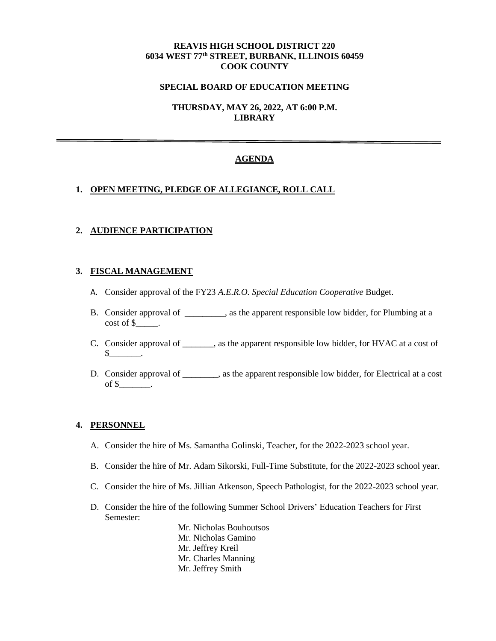## **REAVIS HIGH SCHOOL DISTRICT 220 6034 WEST 77th STREET, BURBANK, ILLINOIS 60459 COOK COUNTY**

### **SPECIAL BOARD OF EDUCATION MEETING**

**THURSDAY, MAY 26, 2022, AT 6:00 P.M. LIBRARY**

### **AGENDA**

### **1. OPEN MEETING, PLEDGE OF ALLEGIANCE, ROLL CALL**

### **2. AUDIENCE PARTICIPATION**

## **3. FISCAL MANAGEMENT**

- A. Consider approval of the FY23 *A.E.R.O. Special Education Cooperative* Budget.
- B. Consider approval of \_\_\_\_\_\_\_\_\_, as the apparent responsible low bidder, for Plumbing at a cost of \$\_\_\_\_\_\_.
- C. Consider approval of \_\_\_\_\_\_\_, as the apparent responsible low bidder, for HVAC at a cost of  $\mathbb S$  .
- D. Consider approval of \_\_\_\_\_\_\_, as the apparent responsible low bidder, for Electrical at a cost of  $\frac{\mathcal{S}}{\mathcal{S}}$ .

#### **4. PERSONNEL**

- A. Consider the hire of Ms. Samantha Golinski, Teacher, for the 2022-2023 school year.
- B. Consider the hire of Mr. Adam Sikorski, Full-Time Substitute, for the 2022-2023 school year.
- C. Consider the hire of Ms. Jillian Atkenson, Speech Pathologist, for the 2022-2023 school year.
- D. Consider the hire of the following Summer School Drivers' Education Teachers for First Semester:

Mr. Nicholas Bouhoutsos Mr. Nicholas Gamino Mr. Jeffrey Kreil Mr. Charles Manning Mr. Jeffrey Smith